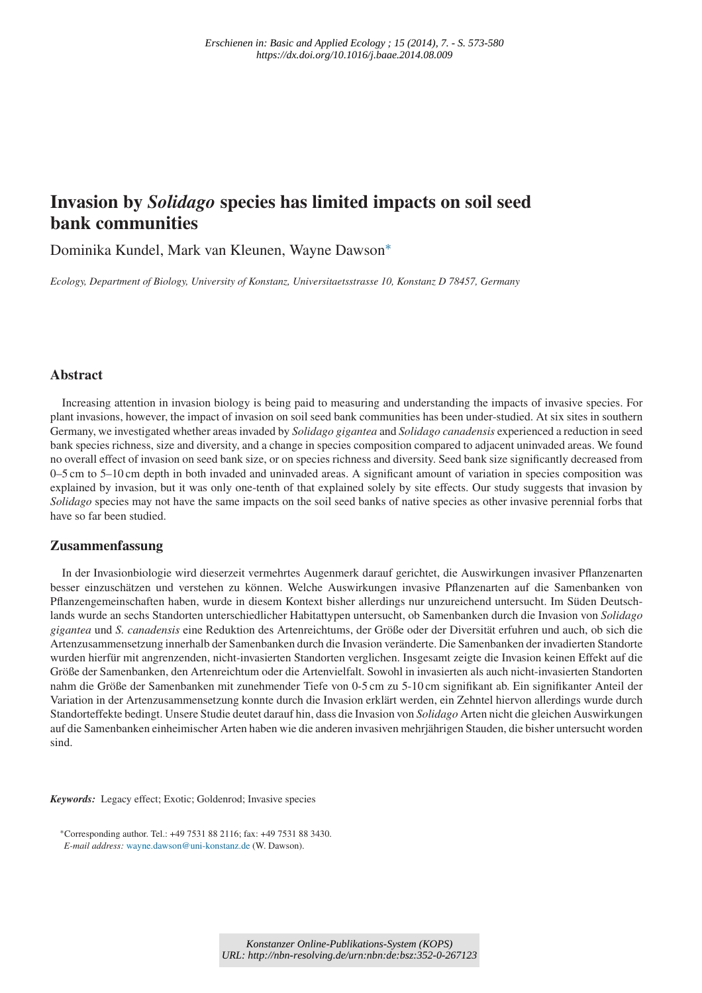# **Invasion by** *Solidago* **species has limited impacts on soil seed bank communities**

Dominika Kundel, Mark van Kleunen, Wayne Dawson∗

*Ecology, Department of Biology, University of Konstanz, Universitaetsstrasse 10, Konstanz D 78457, Germany*

# **Abstract**

Increasing attention in invasion biology is being paid to measuring and understanding the impacts of invasive species. For plant invasions, however, the impact of invasion on soil seed bank communities has been under-studied. At six sites in southern Germany, we investigated whether areas invaded by *Solidago gigantea* and *Solidago canadensis* experienced a reduction in seed bank species richness, size and diversity, and a change in species composition compared to adjacent uninvaded areas. We found no overall effect of invasion on seed bank size, or on species richness and diversity. Seed bank size significantly decreased from 0–5 cm to 5–10 cm depth in both invaded and uninvaded areas. A significant amount of variation in species composition was explained by invasion, but it was only one-tenth of that explained solely by site effects. Our study suggests that invasion by *Solidago* species may not have the same impacts on the soil seed banks of native species as other invasive perennial forbs that have so far been studied.

# **Zusammenfassung**

In der Invasionbiologie wird dieserzeit vermehrtes Augenmerk darauf gerichtet, die Auswirkungen invasiver Pflanzenarten besser einzuschätzen und verstehen zu können. Welche Auswirkungen invasive Pflanzenarten auf die Samenbanken von Pflanzengemeinschaften haben, wurde in diesem Kontext bisher allerdings nur unzureichend untersucht. Im Süden Deutschlands wurde an sechs Standorten unterschiedlicher Habitattypen untersucht, ob Samenbanken durch die Invasion von *Solidago gigantea* und *S. canadensis* eine Reduktion des Artenreichtums, der Größe oder der Diversität erfuhren und auch, ob sich die Artenzusammensetzung innerhalb der Samenbanken durch die Invasion veränderte. Die Samenbanken der invadierten Standorte wurden hierfür mit angrenzenden, nicht-invasierten Standorten verglichen. Insgesamt zeigte die Invasion keinen Effekt auf die Größe der Samenbanken, den Artenreichtum oder die Artenvielfalt. Sowohl in invasierten als auch nicht-invasierten Standorten nahm die Größe der Samenbanken mit zunehmender Tiefe von 0-5 cm zu 5-10 cm signifikant ab. Ein signifikanter Anteil der Variation in der Artenzusammensetzung konnte durch die Invasion erklärt werden, ein Zehntel hiervon allerdings wurde durch Standorteffekte bedingt. Unsere Studie deutet darauf hin, dass die Invasion von *Solidago* Arten nicht die gleichen Auswirkungen auf die Samenbanken einheimischer Arten haben wie die anderen invasiven mehrjährigen Stauden, die bisher untersucht worden sind.

*Keywords:* Legacy effect; Exotic; Goldenrod; Invasive species

∗Corresponding author. Tel.: +49 7531 88 2116; fax: +49 7531 88 3430. *E-mail address:* wayne.dawson@uni-konstanz.de (W. Dawson).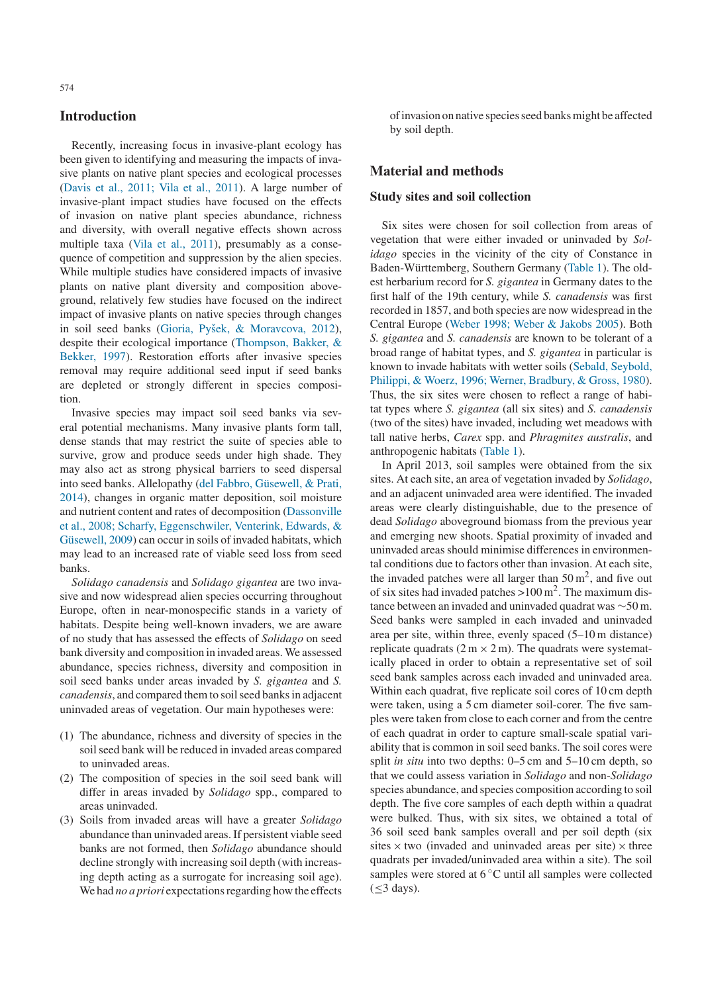## **Introduction**

Recently, increasing focus in invasive-plant ecology has been given to identifying and measuring the impacts of invasive plants on native plant species and ecological processes (Davis et al., 2011; Vila et al., 2011). A large number of invasive-plant impact studies have focused on the effects of invasion on native plant species abundance, richness and diversity, with overall negative effects shown across multiple taxa (Vila et al., 2011), presumably as a consequence of competition and suppression by the alien species. While multiple studies have considered impacts of invasive plants on native plant diversity and composition aboveground, relatively few studies have focused on the indirect impact of invasive plants on native species through changes in soil seed banks (Gioria, Pyšek, & Moravcova, 2012), despite their ecological importance (Thompson, Bakker, & Bekker, 1997). Restoration efforts after invasive species removal may require additional seed input if seed banks are depleted or strongly different in species composition.

Invasive species may impact soil seed banks via several potential mechanisms. Many invasive plants form tall, dense stands that may restrict the suite of species able to survive, grow and produce seeds under high shade. They may also act as strong physical barriers to seed dispersal into seed banks. Allelopathy (del Fabbro, Güsewell, & Prati, 2014), changes in organic matter deposition, soil moisture and nutrient content and rates of decomposition (Dassonville et al., 2008; Scharfy, Eggenschwiler, Venterink, Edwards, & Güsewell, 2009) can occur in soils of invaded habitats, which may lead to an increased rate of viable seed loss from seed banks.

*Solidago canadensis* and *Solidago gigantea* are two invasive and now widespread alien species occurring throughout Europe, often in near-monospecific stands in a variety of habitats. Despite being well-known invaders, we are aware of no study that has assessed the effects of *Solidago* on seed bank diversity and composition in invaded areas. We assessed abundance, species richness, diversity and composition in soil seed banks under areas invaded by *S. gigantea* and *S. canadensis*, and compared them to soil seed banks in adjacent uninvaded areas of vegetation. Our main hypotheses were:

- (1) The abundance, richness and diversity of species in the soilseed bank will be reduced in invaded areas compared to uninvaded areas.
- (2) The composition of species in the soil seed bank will differ in areas invaded by *Solidago* spp., compared to areas uninvaded.
- (3) Soils from invaded areas will have a greater *Solidago* abundance than uninvaded areas. If persistent viable seed banks are not formed, then *Solidago* abundance should decline strongly with increasing soil depth (with increasing depth acting as a surrogate for increasing soil age). We had *no a priori* expectations regarding how the effects

of invasion on native species seed banks might be affected by soil depth.

## **Material and methods**

#### **Study sites and soil collection**

Six sites were chosen for soil collection from areas of vegetation that were either invaded or uninvaded by *Solidago* species in the vicinity of the city of Constance in Baden-Württemberg, Southern Germany (Table 1). The oldest herbarium record for *S. gigantea* in Germany dates to the first half of the 19th century, while *S. canadensis* was first recorded in 1857, and both species are now widespread in the Central Europe (Weber 1998; Weber & Jakobs 2005). Both *S. gigantea* and *S. canadensis* are known to be tolerant of a broad range of habitat types, and *S. gigantea* in particular is known to invade habitats with wetter soils (Sebald, Seybold, Philippi, & Woerz, 1996; Werner, Bradbury, & Gross, 1980). Thus, the six sites were chosen to reflect a range of habitat types where *S. gigantea* (all six sites) and *S. canadensis* (two of the sites) have invaded, including wet meadows with tall native herbs, *Carex* spp. and *Phragmites australis*, and anthropogenic habitats (Table 1).

In April 2013, soil samples were obtained from the six sites. At each site, an area of vegetation invaded by *Solidago*, and an adjacent uninvaded area were identified. The invaded areas were clearly distinguishable, due to the presence of dead *Solidago* aboveground biomass from the previous year and emerging new shoots. Spatial proximity of invaded and uninvaded areas should minimise differences in environmental conditions due to factors other than invasion. At each site, the invaded patches were all larger than  $50 \text{ m}^2$ , and five out of six sites had invaded patches  $>100 \text{ m}^2$ . The maximum distance between an invaded and uninvaded quadrat was ∼50 m. Seed banks were sampled in each invaded and uninvaded area per site, within three, evenly spaced (5–10 m distance) replicate quadrats ( $2 \text{ m} \times 2 \text{ m}$ ). The quadrats were systematically placed in order to obtain a representative set of soil seed bank samples across each invaded and uninvaded area. Within each quadrat, five replicate soil cores of 10 cm depth were taken, using a 5 cm diameter soil-corer. The five samples were taken from close to each corner and from the centre of each quadrat in order to capture small-scale spatial variability that is common in soil seed banks. The soil cores were split *in situ* into two depths: 0–5 cm and 5–10 cm depth, so that we could assess variation in *Solidago* and non-*Solidago* species abundance, and species composition according to soil depth. The five core samples of each depth within a quadrat were bulked. Thus, with six sites, we obtained a total of 36 soil seed bank samples overall and per soil depth (six sites  $\times$  two (invaded and uninvaded areas per site)  $\times$  three quadrats per invaded/uninvaded area within a site). The soil samples were stored at 6 ◦C until all samples were collected  $(\leq 3 \text{ days}).$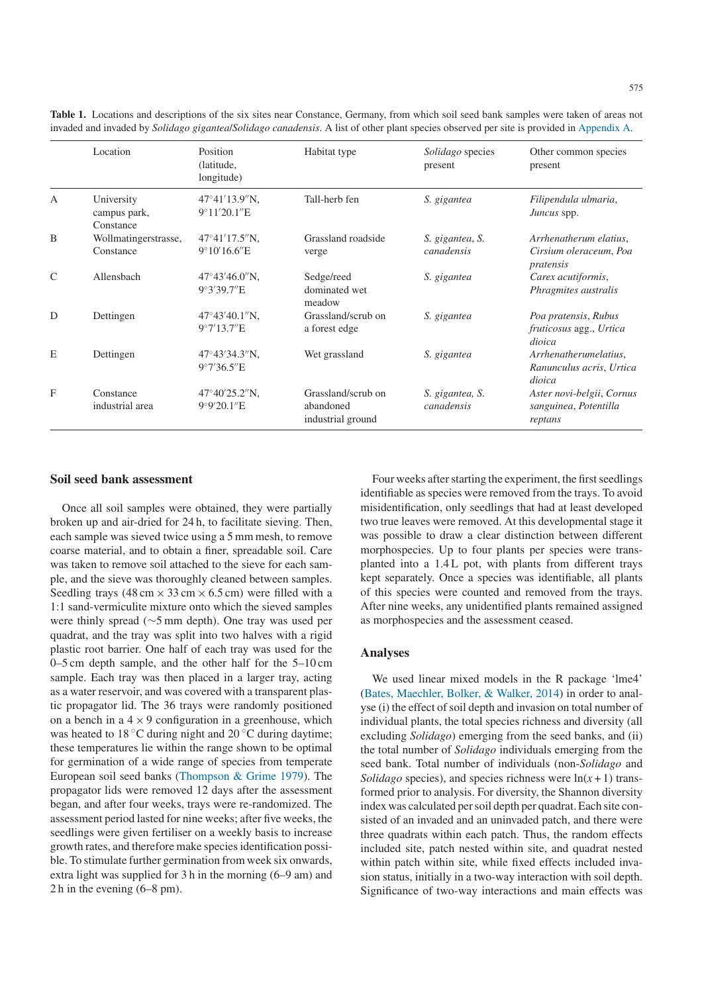|               | Location                                | Position<br>(latitude,<br>longitude)              | Habitat type                                         | Solidago species<br>present   | Other common species<br>present                               |
|---------------|-----------------------------------------|---------------------------------------------------|------------------------------------------------------|-------------------------------|---------------------------------------------------------------|
| $\mathsf{A}$  | University<br>campus park,<br>Constance | $47^{\circ}41'13.9''N$ ,<br>9°11'20.1''E          | Tall-herb fen                                        | S. gigantea                   | Filipendula ulmaria,<br>Juncus spp.                           |
| B             | Wollmatingerstrasse,<br>Constance       | $47^{\circ}41'17.5''N$ ,<br>$9^{\circ}10'16.6''E$ | Grassland roadside<br>verge                          | S. gigantea, S.<br>canadensis | Arrhenatherum elatius,<br>Cirsium oleraceum, Poa<br>pratensis |
| $\mathcal{C}$ | Allensbach                              | $47^{\circ}43'46.0''N$ ,<br>9°3'39.7''E           | Sedge/reed<br>dominated wet<br>meadow                | S. gigantea                   | Carex acutiformis,<br>Phragmites australis                    |
| D             | Dettingen                               | $47^{\circ}43'40.1''N$ ,<br>9°7'13.7''E           | Grassland/scrub on<br>a forest edge                  | S. gigantea                   | Poa pratensis, Rubus<br>fruticosus agg., Urtica<br>dioica     |
| E             | Dettingen                               | $47^{\circ}43'34.3''N$ ,<br>$9^{\circ}7'36.5''E$  | Wet grassland                                        | S. gigantea                   | Arrhenatherumelatius,<br>Ranunculus acris, Urtica<br>dioica   |
| F             | Constance<br>industrial area            | $47^{\circ}40'25.2''N$ ,<br>9°9'20.1''E           | Grassland/scrub on<br>abandoned<br>industrial ground | S. gigantea, S.<br>canadensis | Aster novi-belgii, Cornus<br>sanguinea, Potentilla<br>reptans |

**Table 1.** Locations and descriptions of the six sites near Constance, Germany, from which soil seed bank samples were taken of areas not invaded and invaded by *Solidago gigantea*/*Solidago canadensis*. A list of other plant species observed per site is provided in Appendix A.

#### **Soil seed bank assessment**

Once all soil samples were obtained, they were partially broken up and air-dried for 24 h, to facilitate sieving. Then, each sample was sieved twice using a 5 mm mesh, to remove coarse material, and to obtain a finer, spreadable soil. Care was taken to remove soil attached to the sieve for each sample, and the sieve was thoroughly cleaned between samples. Seedling trays (48 cm  $\times$  33 cm  $\times$  6.5 cm) were filled with a 1:1 sand-vermiculite mixture onto which the sieved samples were thinly spread (∼5 mm depth). One tray was used per quadrat, and the tray was split into two halves with a rigid plastic root barrier. One half of each tray was used for the 0–5 cm depth sample, and the other half for the 5–10 cm sample. Each tray was then placed in a larger tray, acting as a water reservoir, and was covered with a transparent plastic propagator lid. The 36 trays were randomly positioned on a bench in a  $4 \times 9$  configuration in a greenhouse, which was heated to 18 °C during night and 20 °C during daytime; these temperatures lie within the range shown to be optimal for germination of a wide range of species from temperate European soil seed banks (Thompson & Grime 1979). The propagator lids were removed 12 days after the assessment began, and after four weeks, trays were re-randomized. The assessment period lasted for nine weeks; after five weeks, the seedlings were given fertiliser on a weekly basis to increase growth rates, and therefore make speciesidentification possible. To stimulate further germination from week six onwards, extra light was supplied for 3 h in the morning (6–9 am) and 2 h in the evening (6–8 pm).

Four weeks after starting the experiment, the first seedlings identifiable as species were removed from the trays. To avoid misidentification, only seedlings that had at least developed two true leaves were removed. At this developmental stage it was possible to draw a clear distinction between different morphospecies. Up to four plants per species were transplanted into a 1.4 L pot, with plants from different trays kept separately. Once a species was identifiable, all plants of this species were counted and removed from the trays. After nine weeks, any unidentified plants remained assigned as morphospecies and the assessment ceased.

## **Analyses**

We used linear mixed models in the R package 'lme4' (Bates, Maechler, Bolker, & Walker, 2014) in order to analyse (i) the effect of soil depth and invasion on total number of individual plants, the total species richness and diversity (all excluding *Solidago*) emerging from the seed banks, and (ii) the total number of *Solidago* individuals emerging from the seed bank. Total number of individuals (non-*Solidago* and *Solidago* species), and species richness were  $ln(x + 1)$  transformed prior to analysis. For diversity, the Shannon diversity index was calculated persoil depth per quadrat. Each site consisted of an invaded and an uninvaded patch, and there were three quadrats within each patch. Thus, the random effects included site, patch nested within site, and quadrat nested within patch within site, while fixed effects included invasion status, initially in a two-way interaction with soil depth. Significance of two-way interactions and main effects was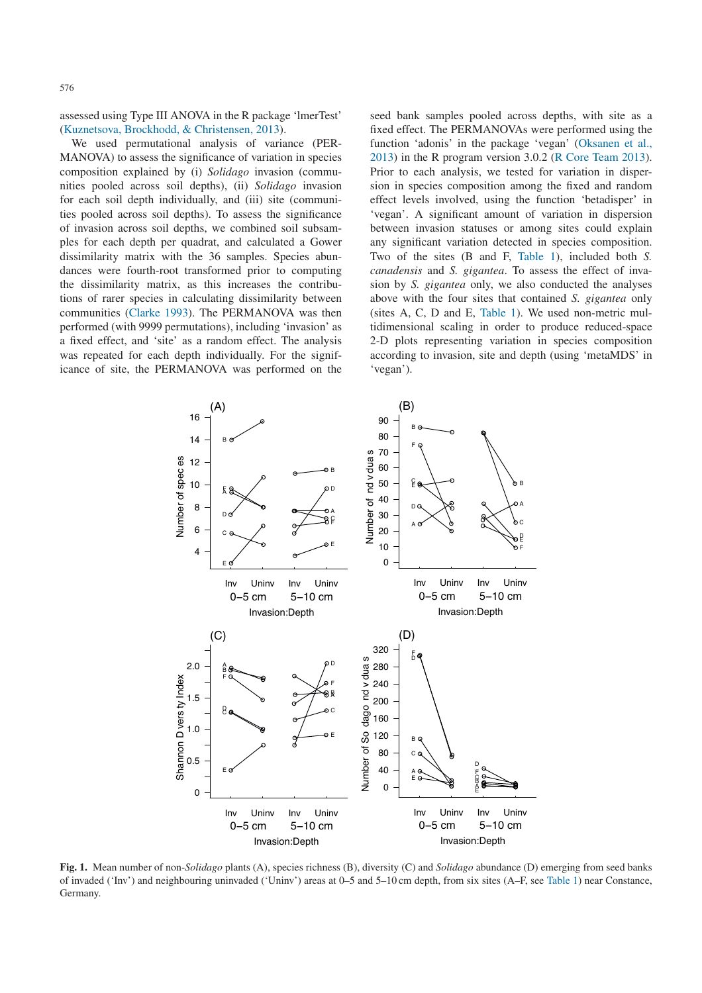576

assessed using Type III ANOVA in the R package 'lmerTest' (Kuznetsova, Brockhodd, & Christensen, 2013).

We used permutational analysis of variance (PER-MANOVA) to assess the significance of variation in species composition explained by (i) *Solidago* invasion (communities pooled across soil depths), (ii) *Solidago* invasion for each soil depth individually, and (iii) site (communities pooled across soil depths). To assess the significance of invasion across soil depths, we combined soil subsamples for each depth per quadrat, and calculated a Gower dissimilarity matrix with the 36 samples. Species abundances were fourth-root transformed prior to computing the dissimilarity matrix, as this increases the contributions of rarer species in calculating dissimilarity between communities (Clarke 1993). The PERMANOVA was then performed (with 9999 permutations), including 'invasion' as a fixed effect, and 'site' as a random effect. The analysis was repeated for each depth individually. For the significance of site, the PERMANOVA was performed on the seed bank samples pooled across depths, with site as a fixed effect. The PERMANOVAs were performed using the function 'adonis' in the package 'vegan' (Oksanen et al., 2013) in the R program version 3.0.2 (R Core Team 2013). Prior to each analysis, we tested for variation in dispersion in species composition among the fixed and random effect levels involved, using the function 'betadisper' in 'vegan'. A significant amount of variation in dispersion between invasion statuses or among sites could explain any significant variation detected in species composition. Two of the sites (B and F, Table 1), included both *S. canadensis* and *S. gigantea*. To assess the effect of invasion by *S. gigantea* only, we also conducted the analyses above with the four sites that contained *S. gigantea* only (sites A, C, D and E, Table 1). We used non-metric multidimensional scaling in order to produce reduced-space 2-D plots representing variation in species composition according to invasion, site and depth (using 'metaMDS' in 'vegan').



**Fig. 1.** Mean number of non-*Solidago* plants (A), species richness (B), diversity (C) and *Solidago* abundance (D) emerging from seed banks of invaded ('Inv') and neighbouring uninvaded ('Uninv') areas at 0–5 and 5–10 cm depth, from six sites (A–F, see Table 1) near Constance, Germany.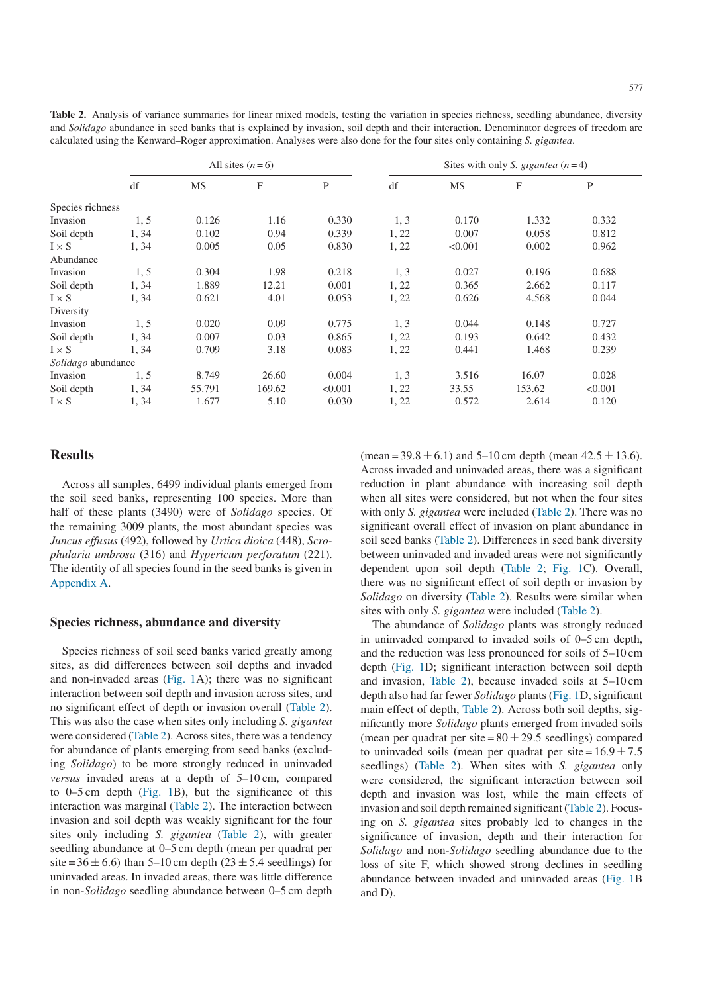**Table 2.** Analysis of variance summaries for linear mixed models, testing the variation in species richness, seedling abundance, diversity and *Solidago* abundance in seed banks that is explained by invasion, soil depth and their interaction. Denominator degrees of freedom are calculated using the Kenward–Roger approximation. Analyses were also done for the four sites only containing *S. gigantea*.

|                    |       |           | All sites $(n=6)$ |         | Sites with only S. gigantea $(n=4)$ |           |              |         |  |  |
|--------------------|-------|-----------|-------------------|---------|-------------------------------------|-----------|--------------|---------|--|--|
|                    | df    | <b>MS</b> | F                 | P       | df                                  | <b>MS</b> | $\mathbf{F}$ | P       |  |  |
| Species richness   |       |           |                   |         |                                     |           |              |         |  |  |
| Invasion           | 1, 5  | 0.126     | 1.16              | 0.330   | 1, 3                                | 0.170     | 1.332        | 0.332   |  |  |
| Soil depth         | 1,34  | 0.102     | 0.94              | 0.339   | 1, 22                               | 0.007     | 0.058        | 0.812   |  |  |
| $I \times S$       | 1,34  | 0.005     | 0.05              | 0.830   | 1, 22                               | < 0.001   | 0.002        | 0.962   |  |  |
| Abundance          |       |           |                   |         |                                     |           |              |         |  |  |
| Invasion           | 1, 5  | 0.304     | 1.98              | 0.218   | 1, 3                                | 0.027     | 0.196        | 0.688   |  |  |
| Soil depth         | 1, 34 | 1.889     | 12.21             | 0.001   | 1, 22                               | 0.365     | 2.662        | 0.117   |  |  |
| $I \times S$       | 1, 34 | 0.621     | 4.01              | 0.053   | 1, 22                               | 0.626     | 4.568        | 0.044   |  |  |
| Diversity          |       |           |                   |         |                                     |           |              |         |  |  |
| Invasion           | 1, 5  | 0.020     | 0.09              | 0.775   | 1, 3                                | 0.044     | 0.148        | 0.727   |  |  |
| Soil depth         | 1,34  | 0.007     | 0.03              | 0.865   | 1, 22                               | 0.193     | 0.642        | 0.432   |  |  |
| $I \times S$       | 1,34  | 0.709     | 3.18              | 0.083   | 1, 22                               | 0.441     | 1.468        | 0.239   |  |  |
| Solidago abundance |       |           |                   |         |                                     |           |              |         |  |  |
| Invasion           | 1, 5  | 8.749     | 26.60             | 0.004   | 1, 3                                | 3.516     | 16.07        | 0.028   |  |  |
| Soil depth         | 1, 34 | 55.791    | 169.62            | < 0.001 | 1, 22                               | 33.55     | 153.62       | < 0.001 |  |  |
| $I \times S$       | 1,34  | 1.677     | 5.10              | 0.030   | 1, 22                               | 0.572     | 2.614        | 0.120   |  |  |

# **Results**

Across all samples, 6499 individual plants emerged from the soil seed banks, representing 100 species. More than half of these plants (3490) were of *Solidago* species. Of the remaining 3009 plants, the most abundant species was *Juncus effusus* (492), followed by *Urtica dioica* (448), *Scrophularia umbrosa* (316) and *Hypericum perforatum* (221). The identity of all species found in the seed banks is given in Appendix A.

#### **Species richness, abundance and diversity**

Species richness of soil seed banks varied greatly among sites, as did differences between soil depths and invaded and non-invaded areas (Fig. 1A); there was no significant interaction between soil depth and invasion across sites, and no significant effect of depth or invasion overall (Table 2). This was also the case when sites only including *S. gigantea* were considered (Table 2). Across sites, there was a tendency for abundance of plants emerging from seed banks (excluding *Solidago*) to be more strongly reduced in uninvaded *versus* invaded areas at a depth of 5–10 cm, compared to 0–5 cm depth (Fig. 1B), but the significance of this interaction was marginal (Table 2). The interaction between invasion and soil depth was weakly significant for the four sites only including *S. gigantea* (Table 2), with greater seedling abundance at 0–5 cm depth (mean per quadrat per site =  $36 \pm 6.6$ ) than 5–10 cm depth (23  $\pm$  5.4 seedlings) for uninvaded areas. In invaded areas, there was little difference in non-*Solidago* seedling abundance between 0–5 cm depth

(mean =  $39.8 \pm 6.1$ ) and  $5{\text -}10$  cm depth (mean  $42.5 \pm 13.6$ ). Across invaded and uninvaded areas, there was a significant reduction in plant abundance with increasing soil depth when all sites were considered, but not when the four sites with only *S. gigantea* were included (Table 2). There was no significant overall effect of invasion on plant abundance in soil seed banks (Table 2). Differences in seed bank diversity between uninvaded and invaded areas were not significantly dependent upon soil depth (Table 2; Fig. 1C). Overall, there was no significant effect of soil depth or invasion by *Solidago* on diversity (Table 2). Results were similar when sites with only *S. gigantea* were included (Table 2).

The abundance of *Solidago* plants was strongly reduced in uninvaded compared to invaded soils of 0–5 cm depth, and the reduction was less pronounced for soils of 5–10 cm depth (Fig. 1D; significant interaction between soil depth and invasion, Table 2), because invaded soils at 5–10 cm depth also had far fewer *Solidago* plants (Fig. 1D, significant main effect of depth, Table 2). Across both soil depths, significantly more *Solidago* plants emerged from invaded soils (mean per quadrat per site  $= 80 \pm 29.5$  seedlings) compared to uninvaded soils (mean per quadrat per site =  $16.9 \pm 7.5$ seedlings) (Table 2). When sites with *S. gigantea* only were considered, the significant interaction between soil depth and invasion was lost, while the main effects of invasion and soil depth remained significant (Table 2). Focusing on *S. gigantea* sites probably led to changes in the significance of invasion, depth and their interaction for *Solidago* and non-*Solidago* seedling abundance due to the loss of site F, which showed strong declines in seedling abundance between invaded and uninvaded areas (Fig. 1B and D).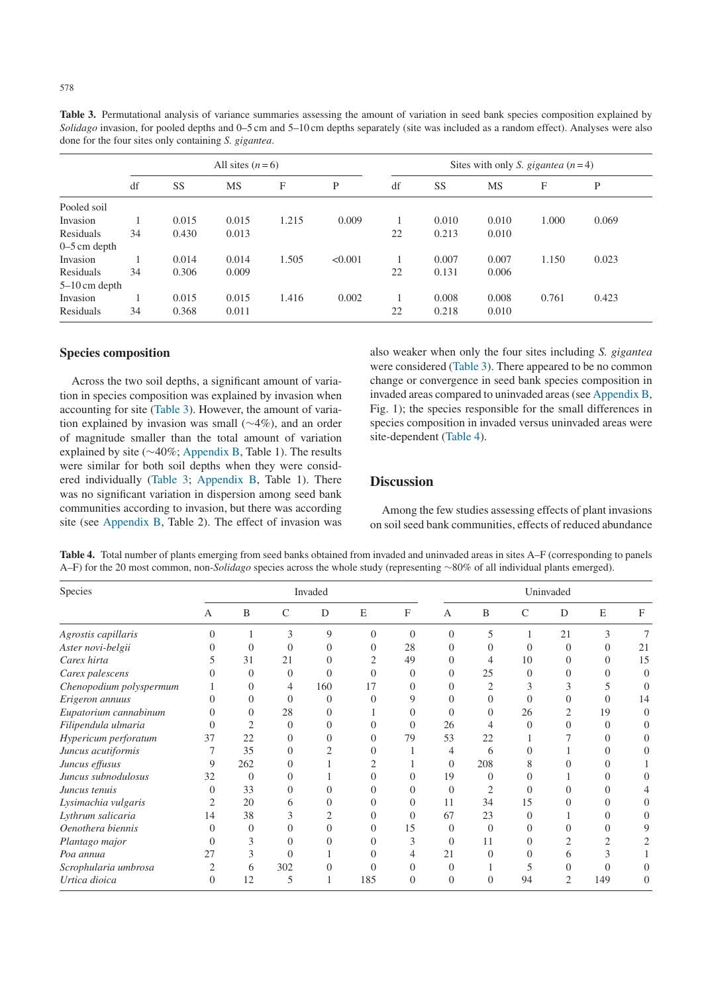| <b>Table 3.</b> Permutational analysis of variance summaries assessing the amount of variation in seed bank species composition explained by |  |
|----------------------------------------------------------------------------------------------------------------------------------------------|--|
| Solidago invasion, for pooled depths and 0–5 cm and 5–10 cm depths separately (site was included as a random effect). Analyses were also     |  |
| done for the four sites only containing S, giganted.                                                                                         |  |
|                                                                                                                                              |  |

|                 |    |       | All sites $(n=6)$ |       |              | Sites with only S. gigantea $(n=4)$ |           |       |       |       |  |
|-----------------|----|-------|-------------------|-------|--------------|-------------------------------------|-----------|-------|-------|-------|--|
|                 | df | SS    | MS                | F     | $\mathbf{P}$ | df                                  | <b>SS</b> | MS    | F     | P     |  |
| Pooled soil     |    |       |                   |       |              |                                     |           |       |       |       |  |
| Invasion        |    | 0.015 | 0.015             | 1.215 | 0.009        |                                     | 0.010     | 0.010 | 1.000 | 0.069 |  |
| Residuals       | 34 | 0.430 | 0.013             |       |              | 22                                  | 0.213     | 0.010 |       |       |  |
| $0-5$ cm depth  |    |       |                   |       |              |                                     |           |       |       |       |  |
| Invasion        |    | 0.014 | 0.014             | 1.505 | < 0.001      |                                     | 0.007     | 0.007 | 1.150 | 0.023 |  |
| Residuals       | 34 | 0.306 | 0.009             |       |              | 22                                  | 0.131     | 0.006 |       |       |  |
| $5-10$ cm depth |    |       |                   |       |              |                                     |           |       |       |       |  |
| Invasion        |    | 0.015 | 0.015             | 1.416 | 0.002        |                                     | 0.008     | 0.008 | 0.761 | 0.423 |  |
| Residuals       | 34 | 0.368 | 0.011             |       |              | 22                                  | 0.218     | 0.010 |       |       |  |

#### **Species composition**

Across the two soil depths, a significant amount of variation in species composition was explained by invasion when accounting for site (Table 3). However, the amount of variation explained by invasion was small (∼4%), and an order of magnitude smaller than the total amount of variation explained by site (∼40%; Appendix B, Table 1). The results were similar for both soil depths when they were considered individually (Table 3; Appendix B, Table 1). There was no significant variation in dispersion among seed bank communities according to invasion, but there was according site (see Appendix B, Table 2). The effect of invasion was also weaker when only the four sites including *S. gigantea* were considered (Table 3). There appeared to be no common change or convergence in seed bank species composition in invaded areas compared to uninvaded areas (see Appendix B, Fig. 1); the species responsible for the small differences in species composition in invaded versus uninvaded areas were site-dependent (Table 4).

#### **Discussion**

Among the few studies assessing effects of plant invasions on soilseed bank communities, effects of reduced abundance

**Table 4.** Total number of plants emerging from seed banks obtained from invaded and uninvaded areas in sites A–F (corresponding to panels A–F) for the 20 most common, non-*Solidago* species across the whole study (representing ∼80% of all individual plants emerged).

| <b>Species</b>          | Invaded          |                |              |     |          |              |          | Uninvaded |              |                |                   |    |  |
|-------------------------|------------------|----------------|--------------|-----|----------|--------------|----------|-----------|--------------|----------------|-------------------|----|--|
|                         | А                | B              | $\mathsf{C}$ | D   | E        | F            | А        | B         | $\mathsf{C}$ | D              | E                 | F  |  |
| Agrostis capillaris     | $\Omega$         |                | 3            | 9   | $\Omega$ | $\Omega$     | $\Omega$ | 5         |              | 21             | 3                 |    |  |
| Aster novi-belgii       |                  | $\Omega$       | $\Omega$     |     |          | 28           |          |           | 0            | $\Omega$       |                   | 21 |  |
| Carex hirta             |                  | 31             | 21           |     |          | 49           | $\theta$ |           | 10           | 0              |                   | 15 |  |
| Carex palescens         |                  | $\theta$       | 0            |     |          | $\Omega$     | 0        | 25        | 0            |                |                   |    |  |
| Chenopodium polyspermum |                  | 0              | 4            | 160 |          | 0            |          |           |              |                |                   |    |  |
| Erigeron annuus         |                  | 0              | $\Omega$     | 0   |          | 9            |          |           |              |                |                   | 14 |  |
| Eupatorium cannabinum   | $\left( \right)$ | $\theta$       | 28           |     |          |              |          | 0         | 26           |                | 19                |    |  |
| Filipendula ulmaria     | $\left( \right)$ | $\overline{2}$ | $\Omega$     |     |          | $\Omega$     | 26       |           | $\Omega$     |                | $\mathbf{\Omega}$ |    |  |
| Hypericum perforatum    | 37               | 22             | $\theta$     |     |          | 79           | 53       | 22        |              |                |                   |    |  |
| Juncus acutiformis      |                  | 35             | 0            |     |          |              | 4        | 6         | $\Omega$     |                |                   |    |  |
| Juncus effusus          | 9                | 262            |              |     |          |              | $\Omega$ | 208       |              |                |                   |    |  |
| Juncus subnodulosus     | 32               | $\theta$       | 0            |     |          | $\mathbf{O}$ | 19       | 0         |              |                |                   |    |  |
| Juncus tenuis           | $\Omega$         | 33             |              |     |          |              | $\Omega$ |           |              |                |                   |    |  |
| Lysimachia vulgaris     | 2                | 20             | 6            |     |          | 0            | 11       | 34        | 15           |                |                   |    |  |
| Lythrum salicaria       | 14               | 38             | 3            |     |          | $\Omega$     | 67       | 23        | 0            |                |                   |    |  |
| Oenothera biennis       | $\Omega$         | $\Omega$       |              |     |          | 15           | 0        | $\Omega$  |              |                |                   |    |  |
| Plantago major          | $\left( \right)$ |                |              |     |          | 3            | $\Omega$ | 11        | 0            |                |                   |    |  |
| Poa annua               | 27               |                |              |     |          |              | 21       |           |              | <sub>t</sub>   |                   |    |  |
| Scrophularia umbrosa    |                  | 6              | 302          |     |          | 0            | $\Omega$ |           |              |                |                   |    |  |
| Urtica dioica           | $\Omega$         | 12             | 5            |     | 185      | $\theta$     | $\theta$ | 0         | 94           | $\overline{2}$ | 149               |    |  |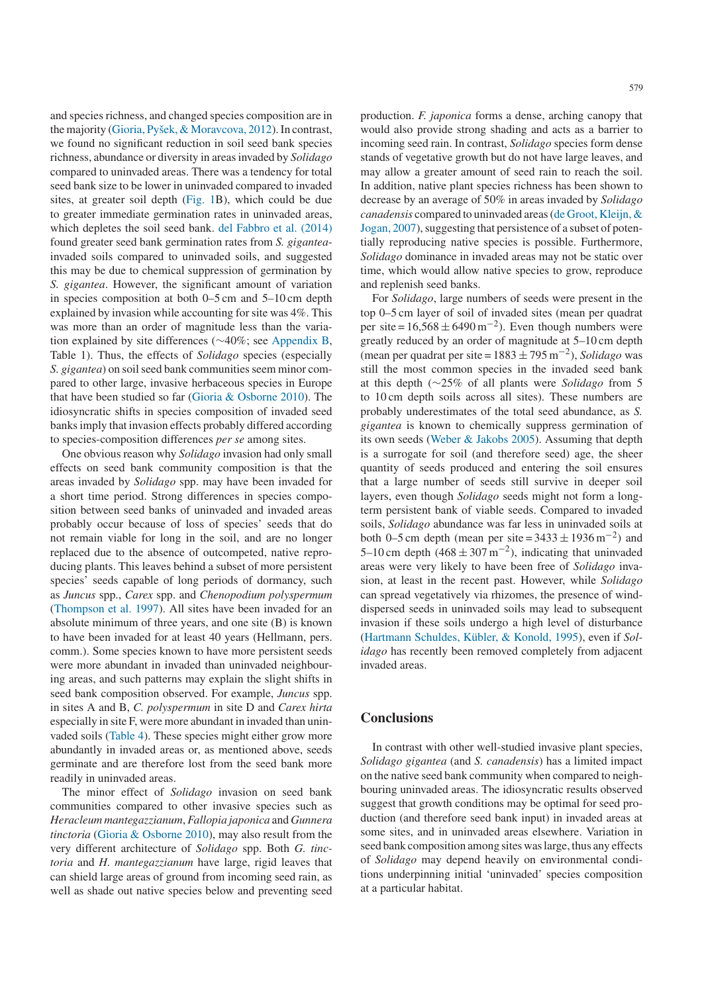and species richness, and changed species composition are in the majority (Gioria, Pyšek, & Moravcova, 2012). In contrast, we found no significant reduction in soil seed bank species richness, abundance or diversity in areasinvaded by *Solidago* compared to uninvaded areas. There was a tendency for total seed bank size to be lower in uninvaded compared to invaded sites, at greater soil depth (Fig. 1B), which could be due to greater immediate germination rates in uninvaded areas, which depletes the soil seed bank. del Fabbro et al. (2014) found greater seed bank germination rates from *S. gigantea*invaded soils compared to uninvaded soils, and suggested this may be due to chemical suppression of germination by *S. gigantea*. However, the significant amount of variation in species composition at both 0–5 cm and 5–10 cm depth explained by invasion while accounting for site was 4%. This was more than an order of magnitude less than the variation explained by site differences (∼40%; see Appendix B, Table 1). Thus, the effects of *Solidago* species (especially *S. gigantea*) on soil seed bank communities seem minor compared to other large, invasive herbaceous species in Europe that have been studied so far (Gioria & Osborne 2010). The idiosyncratic shifts in species composition of invaded seed banksimply that invasion effects probably differed according to species-composition differences *per se* among sites.

One obvious reason why *Solidago* invasion had only small effects on seed bank community composition is that the areas invaded by *Solidago* spp. may have been invaded for a short time period. Strong differences in species composition between seed banks of uninvaded and invaded areas probably occur because of loss of species' seeds that do not remain viable for long in the soil, and are no longer replaced due to the absence of outcompeted, native reproducing plants. This leaves behind a subset of more persistent species' seeds capable of long periods of dormancy, such as *Juncus* spp., *Carex* spp. and *Chenopodium polyspermum* (Thompson et al. 1997). All sites have been invaded for an absolute minimum of three years, and one site (B) is known to have been invaded for at least 40 years (Hellmann, pers. comm.). Some species known to have more persistent seeds were more abundant in invaded than uninvaded neighbouring areas, and such patterns may explain the slight shifts in seed bank composition observed. For example, *Juncus* spp. in sites A and B, *C. polyspermum* in site D and *Carex hirta* especially in site F, were more abundant in invaded than uninvaded soils (Table 4). These species might either grow more abundantly in invaded areas or, as mentioned above, seeds germinate and are therefore lost from the seed bank more readily in uninvaded areas.

The minor effect of *Solidago* invasion on seed bank communities compared to other invasive species such as *Heracleum mantegazzianum*, *Fallopia japonica* and *Gunnera tinctoria* (Gioria & Osborne 2010), may also result from the very different architecture of *Solidago* spp. Both *G. tinctoria* and *H. mantegazzianum* have large, rigid leaves that can shield large areas of ground from incoming seed rain, as well as shade out native species below and preventing seed production. *F. japonica* forms a dense, arching canopy that would also provide strong shading and acts as a barrier to incoming seed rain. In contrast, *Solidago* species form dense stands of vegetative growth but do not have large leaves, and may allow a greater amount of seed rain to reach the soil. In addition, native plant species richness has been shown to decrease by an average of 50% in areas invaded by *Solidago canadensis* compared to uninvaded areas (de Groot, Kleijn, & Jogan, 2007), suggesting that persistence of a subset of potentially reproducing native species is possible. Furthermore, *Solidago* dominance in invaded areas may not be static over time, which would allow native species to grow, reproduce and replenish seed banks.

For *Solidago*, large numbers of seeds were present in the top 0–5 cm layer of soil of invaded sites (mean per quadrat per site =  $16,568 \pm 6490 \,\mathrm{m}^{-2}$ ). Even though numbers were greatly reduced by an order of magnitude at 5–10 cm depth (mean per quadrat per site <sup>=</sup> <sup>1883</sup> <sup>±</sup> <sup>795</sup> <sup>m</sup>−2), *Solidago* was still the most common species in the invaded seed bank at this depth (∼25% of all plants were *Solidago* from 5 to 10 cm depth soils across all sites). These numbers are probably underestimates of the total seed abundance, as *S. gigantea* is known to chemically suppress germination of its own seeds (Weber & Jakobs 2005). Assuming that depth is a surrogate for soil (and therefore seed) age, the sheer quantity of seeds produced and entering the soil ensures that a large number of seeds still survive in deeper soil layers, even though *Solidago* seeds might not form a longterm persistent bank of viable seeds. Compared to invaded soils, *Solidago* abundance was far less in uninvaded soils at both 0–5 cm depth (mean per site =  $3433 \pm 1936$  m<sup>-2</sup>) and 5–10 cm depth  $(468 \pm 307 \text{ m}^{-2})$ , indicating that uninvaded areas were very likely to have been free of *Solidago* invasion, at least in the recent past. However, while *Solidago* can spread vegetatively via rhizomes, the presence of winddispersed seeds in uninvaded soils may lead to subsequent invasion if these soils undergo a high level of disturbance (Hartmann Schuldes, Kübler, & Konold, 1995), even if *Solidago* has recently been removed completely from adjacent invaded areas.

## **Conclusions**

In contrast with other well-studied invasive plant species, *Solidago gigantea* (and *S. canadensis*) has a limited impact on the native seed bank community when compared to neighbouring uninvaded areas. The idiosyncratic results observed suggest that growth conditions may be optimal for seed production (and therefore seed bank input) in invaded areas at some sites, and in uninvaded areas elsewhere. Variation in seed bank composition among sites waslarge, thus any effects of *Solidago* may depend heavily on environmental conditions underpinning initial 'uninvaded' species composition at a particular habitat.